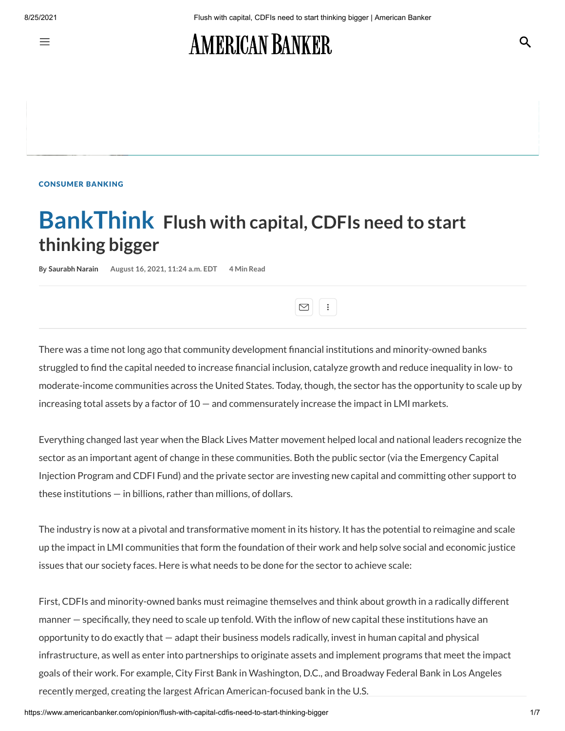亖

# **AMERICAN BANKER**

#### [CONSUMER](https://www.americanbanker.com/consumer-banking) BANKING

## **BankThink Flush with capital, CDFIs need to start thinking bigger**

**By [Saurabh](https://www.americanbanker.com/author/saurabh-narain) Narain August 16, 2021, 11:24 a.m. EDT 4 Min Read**

There was a time not long ago that community development financial institutions and minority-owned banks struggled to find the capital needed to increase financial inclusion, catalyze growth and reduce inequality in low- to moderate-income communities across the United States. Today, though, the sector has the opportunity to scale up by increasing total assets by a factor of  $10 -$  and commensurately increase the impact in LMI markets.

 $\boxed{\circlearrowright}$ 

Everything changed last year when the Black Lives Matter movement helped local and national leaders recognize the sector as an important agent of change in these communities. Both the public sector (via the Emergency Capital Injection Program and CDFI Fund) and the private sector are investing new capital and committing other support to these institutions — in billions, rather than millions, of dollars.

The industry is now at a pivotal and transformative moment in its history. It has the potential to reimagine and scale up the impact in LMI communities that form the foundation of their work and help solve social and economic justice issues that our society faces. Here is what needs to be done for the sector to achieve scale:

First, CDFIs and minority-owned banks must reimagine themselves and think about growth in a radically different manner — specifically, they need to scale up tenfold. With the inflow of new capital these institutions have an opportunity to do exactly that — adapt their business models radically, invest in human capital and physical infrastructure, as well as enter into partnerships to originate assets and implement programs that meet the impact goals of their work. For example, City First Bank in Washington, D.C., and Broadway Federal Bank in Los Angeles recently merged, creating the largest African American-focused bank in the U.S.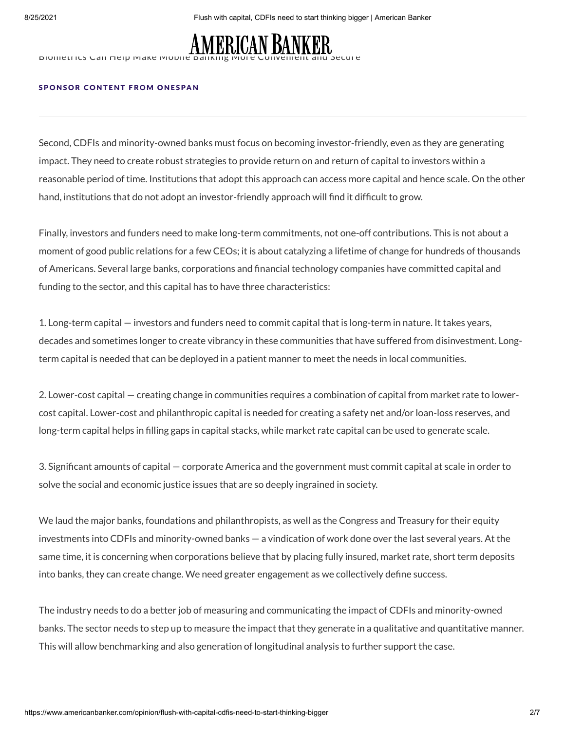

BIOMETRICS CAN HEIP MAKE MODILE

#### SPONSOR CONTENT FROM ONES[PA](https://www.onespan.com/)N

Second, CDFIs and minority-owned banks must focus on becoming investor-friendly, even as they are generating impact. They need to create robust strategies to provide return on and return of capital to investors within a reasonable period of time. Institutions that adopt this approach can access more capital and hence scale. On the other hand, institutions that do not adopt an investor-friendly approach will find it difficult to grow.

Finally, investors and funders need to make long-term commitments, not one-off contributions. This is not about a moment of good public relations for a few CEOs; it is about catalyzing a lifetime of change for hundreds of thousands of Americans. Several large banks, corporations and financial technology companies have committed capital and funding to the sector, and this capital has to have three characteristics:

1. Long-term capital — investors and funders need to commit capital that is long-term in nature. It takes years, decades and sometimes longer to create vibrancy in these communities that have suffered from disinvestment. Longterm capital is needed that can be deployed in a patient manner to meet the needs in local communities.

2. Lower-cost capital — creating change in communities requires a combination of capital from market rate to lowercost capital. Lower-cost and philanthropic capital is needed for creating a safety net and/or loan-loss reserves, and long-term capital helps in filling gaps in capital stacks, while market rate capital can be used to generate scale.

3. Significant amounts of capital — corporate America and the government must commit capital at scale in order to solve the social and economic justice issues that are so deeply ingrained in society.

We laud the major banks, foundations and philanthropists, as well as the Congress and Treasury for their equity investments into CDFIs and minority-owned banks — a vindication of work done over the last several years. At the same time, it is concerning when corporations believe that by placing fully insured, market rate, short term deposits into banks, they can create change. We need greater engagement as we collectively define success.

The industry needs to do a better job of measuring and communicating the impact of CDFIs and minority-owned banks. The sector needs to step up to measure the impact that they generate in a qualitative and quantitative manner. This will allow benchmarking and also generation of longitudinal analysis to further support the case.